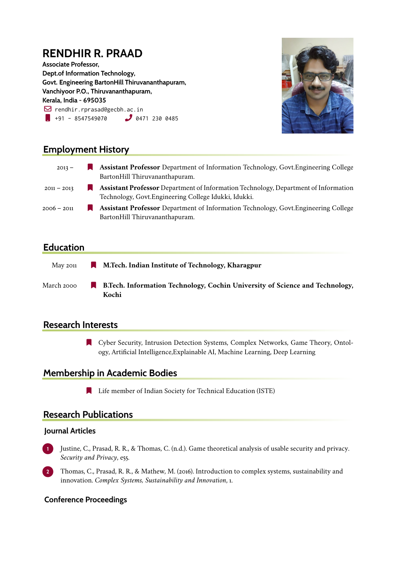# **RENDHIR R. PRAAD**

**Associate Professor, Dept.of Information Technology, Govt. Engineering BartonHill Thiruvananthapuram, Vanchiyoor P.O., Thiruvananthapuram, Kerala, India - 695035**  $\boxdot$  rendhir.rprasad@gecbh.ac.in  $\bullet$  +91 - 8547549070  $\bullet$  0471 230 0485



# **Employment History**

| $2013 -$      |     | <b>Assistant Professor</b> Department of Information Technology, Govt. Engineering College<br>BartonHill Thiruvananthapuram.                        |
|---------------|-----|-----------------------------------------------------------------------------------------------------------------------------------------------------|
| $2011 - 2013$ | ш   | <b>Assistant Professor</b> Department of Information Technology, Department of Information<br>Technology, Govt. Engineering College Idukki, Idukki. |
| 2006 – 2011   | a a | <b>Assistant Professor</b> Department of Information Technology, Govt. Engineering College<br>BartonHill Thiruvananthapuram.                        |

## **Education**

- May 2011 **N. Tech. Indian Institute of Technology, Kharagpur**
- March 2000 **R** B.Tech. Information Technology, Cochin University of Science and Technology, **Kochi**

## **Research Interests**

[ Cyber Security, Intrusion Detection Systems, Complex Networks, Game Theory, Ontology, Artificial Intelligence,Explainable AI, Machine Learning, Deep Learning

## **Membership in Academic Bodies**

**Example 1** Life member of Indian Society for Technical Education (ISTE)

#### **Research Publications**

#### **Journal Articles**

- **1** Justine, C., Prasad, R. R., & Thomas, C. (n.d.). Game theoretical analysis of usable security and privacy. *Security and Privacy*, e55.
- **2** Thomas, C., Prasad, R. R., & Mathew, M. (2016). Introduction to complex systems, sustainability and innovation. *Complex Systems, Sustainability and Innovation*, 1.

#### **Conference Proceedings**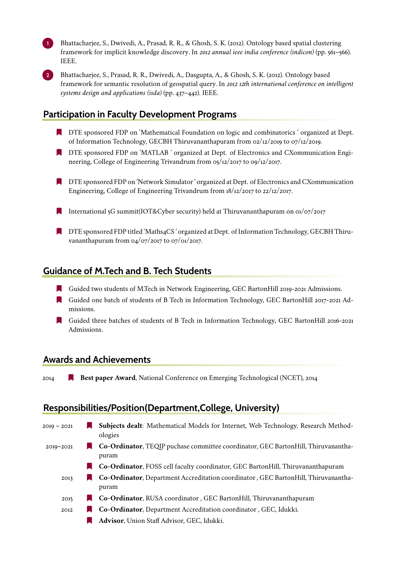**1** Bhattacharjee, S., Dwivedi, A., Prasad, R. R., & Ghosh, S. K. (2012). Ontology based spatial clustering framework for implicit knowledge discovery. In *2012 annual ieee india conference (indicon)* (pp. 561–566). IEEE.



**2** Bhattacharjee, S., Prasad, R. R., Dwivedi, A., Dasgupta, A., & Ghosh, S. K. (2012). Ontology based framework for semantic resolution of geospatial query. In *2012 12th international conference on intelligent systems design and applications (isda)* (pp. 437–442). IEEE.

# **Participation in Faculty Development Programs**

- **IF** DTE sponsored FDP on 'Mathematical Foundation on logic and combinatorics' organized at Dept. of Information Technology, GECBH Thiruvananthapuram from 02/12/2019 to 07/12/2019.
- [ DTE sponsored FDP on 'MATLAB ' organized at Dept. of Electronics and CXommunication Engineering, College of Engineering Trivandrum from 05/12/2017 to 09/12/2017.
- **TE** DTE sponsored FDP on 'Network Simulator' organized at Dept. of Electronics and CXommunication Engineering, College of Engineering Trivandrum from 18/12/2017 to 22/12/2017.
- International 5G summit(IOT&Cyber security) held at Thiruvananthapuram on  $\frac{o_1}{o_7}/\frac{2017}{201}$
- [ DTE sponsored FDP titled 'Maths4CS ' organized at Dept. of Information Technology, GECBH Thiruvananthapuram from 04/07/2017 to 07/01/2017.

## **Guidance of M.Tech and B. Tech Students**

- [ Guided two students of M.Tech in Network Engineering, GEC BartonHill 2019-2021 Admissions.
- [ Guided one batch of students of B Tech in Information Technology, GEC BartonHill 2017-2021 Admissions.
- [ Guided three batches of students of B Tech in Information Technology, GEC BartonHill 2016-2021 Admissions.

#### **Awards and Achievements**

2014 **Best paper Award**, National Conference on Emerging Technological (NCET), 2014

## **Responsibilities/Position(Department,College, University)**